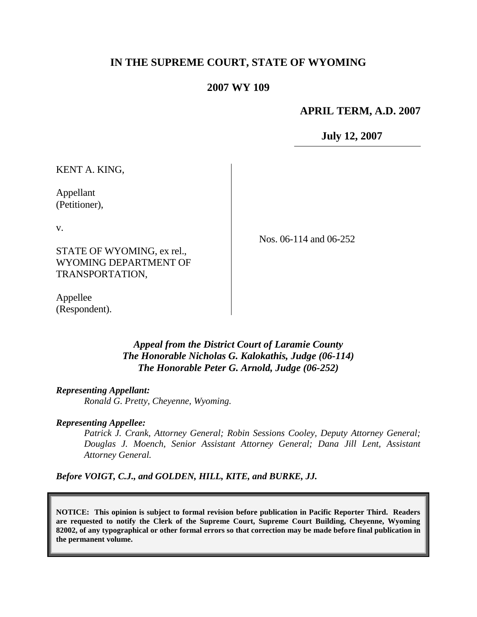# **IN THE SUPREME COURT, STATE OF WYOMING**

### **2007 WY 109**

#### **APRIL TERM, A.D. 2007**

**July 12, 2007**

KENT A. KING,

Appellant (Petitioner),

v.

STATE OF WYOMING, ex rel., WYOMING DEPARTMENT OF TRANSPORTATION,

Nos. 06-114 and 06-252

Appellee (Respondent).

> *Appeal from the District Court of Laramie County The Honorable Nicholas G. Kalokathis, Judge (06-114) The Honorable Peter G. Arnold, Judge (06-252)*

*Representing Appellant:*

*Ronald G. Pretty, Cheyenne, Wyoming.*

*Representing Appellee:*

*Patrick J. Crank, Attorney General; Robin Sessions Cooley, Deputy Attorney General; Douglas J. Moench, Senior Assistant Attorney General; Dana Jill Lent, Assistant Attorney General.*

*Before VOIGT, C.J., and GOLDEN, HILL, KITE, and BURKE, JJ.*

**NOTICE: This opinion is subject to formal revision before publication in Pacific Reporter Third. Readers are requested to notify the Clerk of the Supreme Court, Supreme Court Building, Cheyenne, Wyoming 82002, of any typographical or other formal errors so that correction may be made before final publication in the permanent volume.**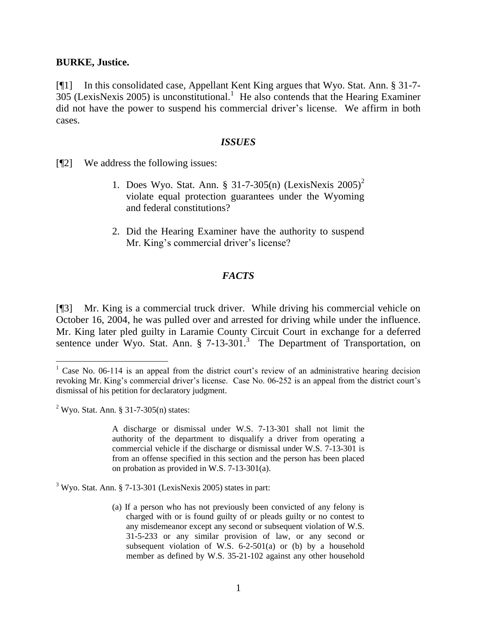#### **BURKE, Justice.**

[¶1] In this consolidated case, Appellant Kent King argues that Wyo. Stat. Ann. § 31-7-  $305$  (LexisNexis 2005) is unconstitutional.<sup>1</sup> He also contends that the Hearing Examiner did not have the power to suspend his commercial driver's license. We affirm in both cases.

#### *ISSUES*

[¶2] We address the following issues:

- 1. Does Wyo. Stat. Ann. § 31-7-305(n) (LexisNexis 2005)<sup>2</sup> violate equal protection guarantees under the Wyoming and federal constitutions?
- 2. Did the Hearing Examiner have the authority to suspend Mr. King's commercial driver's license?

### *FACTS*

[¶3] Mr. King is a commercial truck driver. While driving his commercial vehicle on October 16, 2004, he was pulled over and arrested for driving while under the influence. Mr. King later pled guilty in Laramie County Circuit Court in exchange for a deferred sentence under Wyo. Stat. Ann. § 7-13-301.<sup>3</sup> The Department of Transportation, on

 $2$  Wyo. Stat. Ann. § 31-7-305(n) states:

 $\overline{a}$ 

A discharge or dismissal under W.S. 7-13-301 shall not limit the authority of the department to disqualify a driver from operating a commercial vehicle if the discharge or dismissal under W.S. 7-13-301 is from an offense specified in this section and the person has been placed on probation as provided in W.S. 7-13-301(a).

 $3$  Wyo. Stat. Ann. § 7-13-301 (LexisNexis 2005) states in part:

(a) If a person who has not previously been convicted of any felony is charged with or is found guilty of or pleads guilty or no contest to any misdemeanor except any second or subsequent violation of W.S. 31-5-233 or any similar provision of law, or any second or subsequent violation of W.S. 6-2-501(a) or (b) by a household member as defined by W.S. 35-21-102 against any other household

 $1$  Case No. 06-114 is an appeal from the district court's review of an administrative hearing decision revoking Mr. King's commercial driver's license. Case No. 06-252 is an appeal from the district court's dismissal of his petition for declaratory judgment.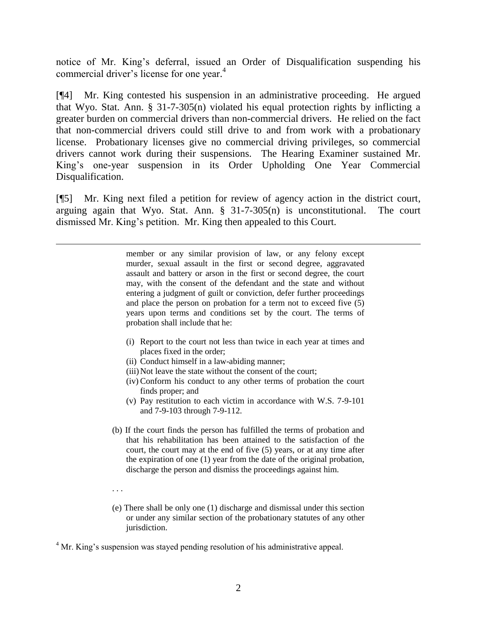notice of Mr. King's deferral, issued an Order of Disqualification suspending his commercial driver's license for one year. 4

[¶4] Mr. King contested his suspension in an administrative proceeding. He argued that Wyo. Stat. Ann. § 31-7-305(n) violated his equal protection rights by inflicting a greater burden on commercial drivers than non-commercial drivers. He relied on the fact that non-commercial drivers could still drive to and from work with a probationary license. Probationary licenses give no commercial driving privileges, so commercial drivers cannot work during their suspensions. The Hearing Examiner sustained Mr. King's one-year suspension in its Order Upholding One Year Commercial Disqualification.

[¶5] Mr. King next filed a petition for review of agency action in the district court, arguing again that Wyo. Stat. Ann. § 31-7-305(n) is unconstitutional. The court dismissed Mr. King's petition. Mr. King then appealed to this Court.

> member or any similar provision of law, or any felony except murder, sexual assault in the first or second degree, aggravated assault and battery or arson in the first or second degree, the court may, with the consent of the defendant and the state and without entering a judgment of guilt or conviction, defer further proceedings and place the person on probation for a term not to exceed five (5) years upon terms and conditions set by the court. The terms of probation shall include that he:

- (i) Report to the court not less than twice in each year at times and places fixed in the order;
- (ii) Conduct himself in a law-abiding manner;
- (iii) Not leave the state without the consent of the court;
- (iv) Conform his conduct to any other terms of probation the court finds proper; and
- (v) Pay restitution to each victim in accordance with W.S. 7-9-101 and 7-9-103 through 7-9-112.
- (b) If the court finds the person has fulfilled the terms of probation and that his rehabilitation has been attained to the satisfaction of the court, the court may at the end of five (5) years, or at any time after the expiration of one (1) year from the date of the original probation, discharge the person and dismiss the proceedings against him.
- . . .

 $\overline{a}$ 

(e) There shall be only one (1) discharge and dismissal under this section or under any similar section of the probationary statutes of any other jurisdiction.

<sup>4</sup> Mr. King's suspension was stayed pending resolution of his administrative appeal.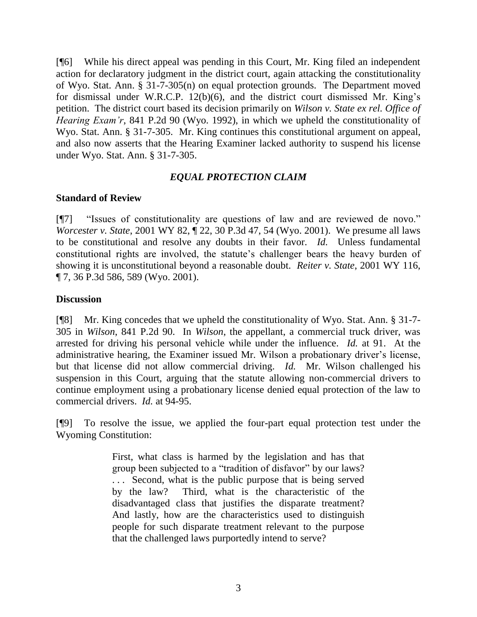[¶6] While his direct appeal was pending in this Court, Mr. King filed an independent action for declaratory judgment in the district court, again attacking the constitutionality of Wyo. Stat. Ann. § 31-7-305(n) on equal protection grounds. The Department moved for dismissal under W.R.C.P. 12(b)(6), and the district court dismissed Mr. King's petition. The district court based its decision primarily on *Wilson v. State ex rel. Office of Hearing Exam'r*, 841 P.2d 90 (Wyo. 1992), in which we upheld the constitutionality of Wyo. Stat. Ann. § 31-7-305. Mr. King continues this constitutional argument on appeal, and also now asserts that the Hearing Examiner lacked authority to suspend his license under Wyo. Stat. Ann. § 31-7-305.

# *EQUAL PROTECTION CLAIM*

## **Standard of Review**

[¶7] "Issues of constitutionality are questions of law and are reviewed de novo." *Worcester v. State*, 2001 WY 82,  $\parallel$  22, 30 P.3d 47, 54 (Wyo. 2001). We presume all laws to be constitutional and resolve any doubts in their favor. *Id.* Unless fundamental constitutional rights are involved, the statute's challenger bears the heavy burden of showing it is unconstitutional beyond a reasonable doubt. *Reiter v. State*, 2001 WY 116, ¶ 7, 36 P.3d 586, 589 (Wyo. 2001).

## **Discussion**

[¶8] Mr. King concedes that we upheld the constitutionality of Wyo. Stat. Ann. § 31-7- 305 in *Wilson*, 841 P.2d 90. In *Wilson*, the appellant, a commercial truck driver, was arrested for driving his personal vehicle while under the influence. *Id.* at 91. At the administrative hearing, the Examiner issued Mr. Wilson a probationary driver's license, but that license did not allow commercial driving. *Id.* Mr. Wilson challenged his suspension in this Court, arguing that the statute allowing non-commercial drivers to continue employment using a probationary license denied equal protection of the law to commercial drivers. *Id.* at 94-95.

[¶9] To resolve the issue, we applied the four-part equal protection test under the Wyoming Constitution:

> First, what class is harmed by the legislation and has that group been subjected to a "tradition of disfavor" by our laws? . . . Second, what is the public purpose that is being served by the law? Third, what is the characteristic of the disadvantaged class that justifies the disparate treatment? And lastly, how are the characteristics used to distinguish people for such disparate treatment relevant to the purpose that the challenged laws purportedly intend to serve?